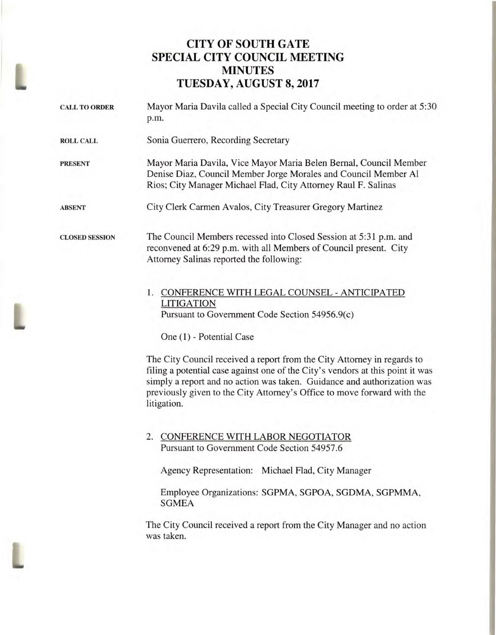## **CITY OF SOUTH GATE SPECIAL CITY COUNCIL MEETING MINUTES TUESDAY, AUGUST 8, 2017**

| <b>CALL TO ORDER</b>  | Mayor Maria Davila called a Special City Council meeting to order at 5:30<br>p.m.                                                                                                                                                                                                                                              |
|-----------------------|--------------------------------------------------------------------------------------------------------------------------------------------------------------------------------------------------------------------------------------------------------------------------------------------------------------------------------|
| <b>ROLL CALL</b>      | Sonia Guerrero, Recording Secretary                                                                                                                                                                                                                                                                                            |
| <b>PRESENT</b>        | Mayor Maria Davila, Vice Mayor Maria Belen Bernal, Council Member<br>Denise Diaz, Council Member Jorge Morales and Council Member Al<br>Rios; City Manager Michael Flad, City Attorney Raul F. Salinas                                                                                                                         |
| <b>ABSENT</b>         | City Clerk Carmen Avalos, City Treasurer Gregory Martinez                                                                                                                                                                                                                                                                      |
| <b>CLOSED SESSION</b> | The Council Members recessed into Closed Session at 5:31 p.m. and<br>reconvened at 6:29 p.m. with all Members of Council present. City<br>Attorney Salinas reported the following:                                                                                                                                             |
|                       | 1. CONFERENCE WITH LEGAL COUNSEL - ANTICIPATED<br><b>LITIGATION</b><br>Pursuant to Government Code Section 54956.9(c)                                                                                                                                                                                                          |
|                       | One (1) - Potential Case                                                                                                                                                                                                                                                                                                       |
|                       | The City Council received a report from the City Attorney in regards to<br>filing a potential case against one of the City's vendors at this point it was<br>simply a report and no action was taken. Guidance and authorization was<br>previously given to the City Attorney's Office to move forward with the<br>litigation. |
|                       | 2. CONFERENCE WITH LABOR NEGOTIATOR<br>Pursuant to Government Code Section 54957.6                                                                                                                                                                                                                                             |
|                       | Agency Representation: Michael Flad, City Manager                                                                                                                                                                                                                                                                              |
|                       | Employee Organizations: SGPMA, SGPOA, SGDMA, SGPMMA,<br><b>SGMEA</b>                                                                                                                                                                                                                                                           |
|                       | The City Council received a report from the City Manager and no action<br>was taken.                                                                                                                                                                                                                                           |

L

I